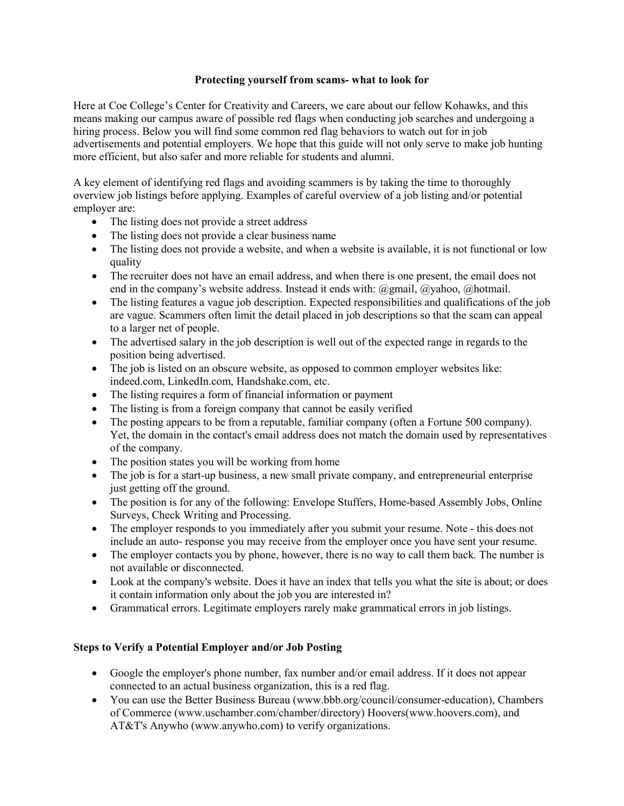### **Protecting yourself from scams- what to look for**

Here at Coe College's Center for Creativity and Careers, we care about our fellow Kohawks, and this means making our campus aware of possible red flags when conducting job searches and undergoing a hiring process. Below you will find some common red flag behaviors to watch out for in job advertisements and potential employers. We hope that this guide will not only serve to make job hunting more efficient, but also safer and more reliable for students and alumni.

A key element of identifying red flags and avoiding scammers is by taking the time to thoroughly overview job listings before applying. Examples of careful overview of a job listing and/or potential employer are:

- The listing does not provide a street address
- The listing does not provide a clear business name
- The listing does not provide a website, and when a website is available, it is not functional or low quality
- The recruiter does not have an email address, and when there is one present, the email does not end in the company's website address. Instead it ends with: @gmail, @yahoo, @hotmail.
- The listing features a vague job description. Expected responsibilities and qualifications of the job are vague. Scammers often limit the detail placed in job descriptions so that the scam can appeal to a larger net of people.
- The advertised salary in the job description is well out of the expected range in regards to the position being advertised.
- The job is listed on an obscure website, as opposed to common employer websites like: indeed.com, LinkedIn.com, Handshake.com, etc.
- The listing requires a form of financial information or payment
- The listing is from a foreign company that cannot be easily verified
- The posting appears to be from a reputable, familiar company (often a Fortune 500 company). Yet, the domain in the contact's email address does not match the domain used by representatives of the company.
- The position states you will be working from home
- The job is for a start-up business, a new small private company, and entrepreneurial enterprise just getting off the ground.
- The position is for any of the following: Envelope Stuffers, Home-based Assembly Jobs, Online Surveys, Check Writing and Processing.
- The employer responds to you immediately after you submit your resume. Note this does not include an auto- response you may receive from the employer once you have sent your resume.
- The employer contacts you by phone, however, there is no way to call them back. The number is not available or disconnected.
- Look at the company's website. Does it have an index that tells you what the site is about; or does it contain information only about the job you are interested in?
- Grammatical errors. Legitimate employers rarely make grammatical errors in job listings.

## **Steps to Verify a Potential Employer and/or Job Posting**

- Google the employer's phone number, fax number and/or email address. If it does not appear connected to an actual business organization, this is a red flag.
- You can use the Better Business Bureau (www.bbb.org/council/consumer-education), Chambers of Commerce (www.uschamber.com/chamber/directory) Hoovers(www.hoovers.com), and AT&T's Anywho (www.anywho.com) to verify organizations.